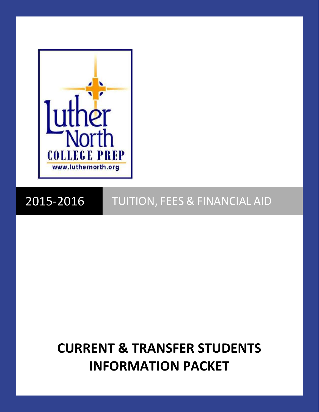

# 2015-2016 TUITION, FEES & FINANCIAL AID

# **CURRENT & TRANSFER STUDENTS INFORMATION PACKET**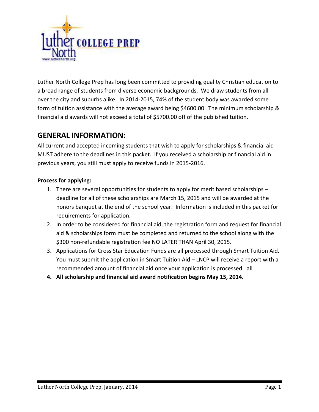

Luther North College Prep has long been committed to providing quality Christian education to a broad range of students from diverse economic backgrounds. We draw students from all over the city and suburbs alike. In 2014-2015, 74% of the student body was awarded some form of tuition assistance with the average award being \$4600.00. The minimum scholarship & financial aid awards will not exceed a total of \$5700.00 off of the published tuition.

# **GENERAL INFORMATION:**

All current and accepted incoming students that wish to apply for scholarships & financial aid MUST adhere to the deadlines in this packet. If you received a scholarship or financial aid in previous years, you still must apply to receive funds in 2015-2016.

#### **Process for applying:**

- 1. There are several opportunities for students to apply for merit based scholarships deadline for all of these scholarships are March 15, 2015 and will be awarded at the honors banquet at the end of the school year. Information is included in this packet for requirements for application.
- 2. In order to be considered for financial aid, the registration form and request for financial aid & scholarships form must be completed and returned to the school along with the \$300 non-refundable registration fee NO LATER THAN April 30, 2015.
- 3. Applications for Cross Star Education Funds are all processed through Smart Tuition Aid. You must submit the application in Smart Tuition Aid – LNCP will receive a report with a recommended amount of financial aid once your application is processed. all
- **4. All scholarship and financial aid award notification begins May 15, 2014.**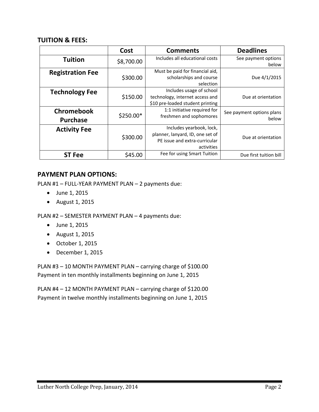#### **TUITION & FEES:**

|                               | Cost       | <b>Comments</b>                                                                                             | <b>Deadlines</b>                   |
|-------------------------------|------------|-------------------------------------------------------------------------------------------------------------|------------------------------------|
| <b>Tuition</b>                | \$8,700.00 | Includes all educational costs                                                                              | See payment options<br>below       |
| <b>Registration Fee</b>       | \$300.00   | Must be paid for financial aid,<br>scholarships and course<br>selection                                     | Due 4/1/2015                       |
| <b>Technology Fee</b>         | \$150.00   | Includes usage of school<br>technology, internet access and<br>\$10 pre-loaded student printing             | Due at orientation                 |
| Chromebook<br><b>Purchase</b> | \$250.00*  | 1:1 initiative required for<br>freshmen and sophomores                                                      | See payment options plans<br>below |
| <b>Activity Fee</b>           | \$300.00   | Includes yearbook, lock,<br>planner, lanyard, ID, one set of<br>PE issue and extra-curricular<br>activities | Due at orientation                 |
| <b>ST Fee</b>                 | \$45.00    | Fee for using Smart Tuition                                                                                 | Due first tuition bill             |

### **PAYMENT PLAN OPTIONS:**

PLAN #1 – FULL-YEAR PAYMENT PLAN – 2 payments due:

- June 1, 2015
- August 1, 2015

PLAN #2 – SEMESTER PAYMENT PLAN – 4 payments due:

- June 1, 2015
- August 1, 2015
- October 1, 2015
- December 1, 2015

PLAN #3 – 10 MONTH PAYMENT PLAN – carrying charge of \$100.00 Payment in ten monthly installments beginning on June 1, 2015

PLAN #4 – 12 MONTH PAYMENT PLAN – carrying charge of \$120.00 Payment in twelve monthly installments beginning on June 1, 2015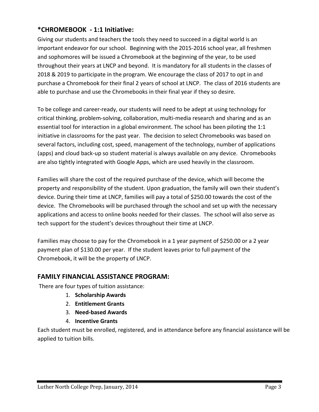# **\*CHROMEBOOK - 1:1 Initiative:**

Giving our students and teachers the tools they need to succeed in a digital world is an important endeavor for our school. Beginning with the 2015-2016 school year, all freshmen and sophomores will be issued a Chromebook at the beginning of the year, to be used throughout their years at LNCP and beyond. It is mandatory for all students in the classes of 2018 & 2019 to participate in the program. We encourage the class of 2017 to opt in and purchase a Chromebook for their final 2 years of school at LNCP. The class of 2016 students are able to purchase and use the Chromebooks in their final year if they so desire.

To be college and career-ready, our students will need to be adept at using technology for critical thinking, problem-solving, collaboration, multi-media research and sharing and as an essential tool for interaction in a global environment. The school has been piloting the 1:1 initiative in classrooms for the past year. The decision to select Chromebooks was based on several factors, including cost, speed, management of the technology, number of applications (apps) and cloud back-up so student material is always available on any device. Chromebooks are also tightly integrated with Google Apps, which are used heavily in the classroom.

Families will share the cost of the required purchase of the device, which will become the property and responsibility of the student. Upon graduation, the family will own their student's device. During their time at LNCP, families will pay a total of \$250.00 towards the cost of the device. The Chromebooks will be purchased through the school and set up with the necessary applications and access to online books needed for their classes. The school will also serve as tech support for the student's devices throughout their time at LNCP.

Families may choose to pay for the Chromebook in a 1 year payment of \$250.00 or a 2 year payment plan of \$130.00 per year. If the student leaves prior to full payment of the Chromebook, it will be the property of LNCP.

# **FAMILY FINANCIAL ASSISTANCE PROGRAM:**

There are four types of tuition assistance:

- 1. **Scholarship Awards**
- 2. **Entitlement Grants**
- 3. **Need-based Awards**
- 4. **Incentive Grants**

Each student must be enrolled, registered, and in attendance before any financial assistance will be applied to tuition bills.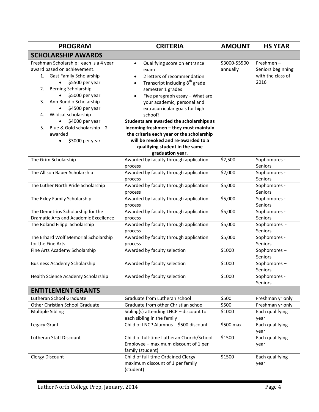| <b>PROGRAM</b>                                                                                                                                                                                                                                                                                                                               | <b>CRITERIA</b>                                                                                                                                                                                                                                                                                                                                                                                                                                                                                                                           | <b>AMOUNT</b>             | <b>HS YEAR</b>                                                  |
|----------------------------------------------------------------------------------------------------------------------------------------------------------------------------------------------------------------------------------------------------------------------------------------------------------------------------------------------|-------------------------------------------------------------------------------------------------------------------------------------------------------------------------------------------------------------------------------------------------------------------------------------------------------------------------------------------------------------------------------------------------------------------------------------------------------------------------------------------------------------------------------------------|---------------------------|-----------------------------------------------------------------|
| <b>SCHOLARSHIP AWARDS</b>                                                                                                                                                                                                                                                                                                                    |                                                                                                                                                                                                                                                                                                                                                                                                                                                                                                                                           |                           |                                                                 |
| Freshman Scholarship: each is a 4 year<br>award based on achievement.<br>1. Gast Family Scholarship<br>\$5500 per year<br>Berning Scholarship<br>2.<br>\$5000 per year<br>Ann Rundio Scholarship<br>3.<br>\$4500 per year<br>Wildcat scholarship<br>4.<br>\$4000 per year<br>Blue & Gold scholarship - 2<br>5.<br>awarded<br>\$3000 per year | Qualifying score on entrance<br>$\bullet$<br>exam<br>2 letters of recommendation<br>$\bullet$<br>Transcript including 8 <sup>th</sup> grade<br>$\bullet$<br>semester 1 grades<br>Five paragraph essay - What are<br>$\bullet$<br>your academic, personal and<br>extracurricular goals for high<br>school?<br>Students are awarded the scholarships as<br>incoming freshmen - they must maintain<br>the criteria each year or the scholarship<br>will be revoked and re-awarded to a<br>qualifying student in the same<br>graduation year. | \$3000-\$5500<br>annually | $F$ reshmen –<br>Seniors beginning<br>with the class of<br>2016 |
| The Grim Scholarship                                                                                                                                                                                                                                                                                                                         | Awarded by faculty through application<br>process                                                                                                                                                                                                                                                                                                                                                                                                                                                                                         | \$2,500                   | Sophomores -<br>Seniors                                         |
| The Allison Bauer Scholarship                                                                                                                                                                                                                                                                                                                | Awarded by faculty through application<br>process                                                                                                                                                                                                                                                                                                                                                                                                                                                                                         | \$2,000                   | Sophomores -<br>Seniors                                         |
| The Luther North Pride Scholarship                                                                                                                                                                                                                                                                                                           | Awarded by faculty through application<br>process                                                                                                                                                                                                                                                                                                                                                                                                                                                                                         | \$5,000                   | Sophomores -<br>Seniors                                         |
| The Exley Family Scholarship                                                                                                                                                                                                                                                                                                                 | Awarded by faculty through application<br>process                                                                                                                                                                                                                                                                                                                                                                                                                                                                                         | \$5,000                   | Sophomores -<br>Seniors                                         |
| The Demetrios Scholarship for the<br><b>Dramatic Arts and Academic Excellence</b>                                                                                                                                                                                                                                                            | Awarded by faculty through application<br>process                                                                                                                                                                                                                                                                                                                                                                                                                                                                                         | \$5,000                   | Sophomores -<br>Seniors                                         |
| The Roland Filippi Scholarship                                                                                                                                                                                                                                                                                                               | Awarded by faculty through application<br>process                                                                                                                                                                                                                                                                                                                                                                                                                                                                                         | \$5,000                   | Sophomores -<br>Seniors                                         |
| The Erhard Wolf Memorial Scholarship<br>for the Fine Arts                                                                                                                                                                                                                                                                                    | Awarded by faculty through application<br>process                                                                                                                                                                                                                                                                                                                                                                                                                                                                                         | \$5,000                   | Sophomores -<br>Seniors                                         |
| Fine Arts Academy Scholarship                                                                                                                                                                                                                                                                                                                | Awarded by faculty selection                                                                                                                                                                                                                                                                                                                                                                                                                                                                                                              | \$1000                    | Sophomores-<br>Seniors                                          |
| <b>Business Academy Scholarship</b>                                                                                                                                                                                                                                                                                                          | Awarded by faculty selection                                                                                                                                                                                                                                                                                                                                                                                                                                                                                                              | \$1000                    | Sophomores-<br>Seniors                                          |
| Health Science Academy Scholarship                                                                                                                                                                                                                                                                                                           | Awarded by faculty selection                                                                                                                                                                                                                                                                                                                                                                                                                                                                                                              | \$1000                    | Sophomores -<br>Seniors                                         |
| <b>ENTITLEMENT GRANTS</b>                                                                                                                                                                                                                                                                                                                    |                                                                                                                                                                                                                                                                                                                                                                                                                                                                                                                                           |                           |                                                                 |
| Lutheran School Graduate                                                                                                                                                                                                                                                                                                                     | Graduate from Lutheran school                                                                                                                                                                                                                                                                                                                                                                                                                                                                                                             | \$500                     | Freshman yr only                                                |
| Other Christian School Graduate                                                                                                                                                                                                                                                                                                              | Graduate from other Christian school                                                                                                                                                                                                                                                                                                                                                                                                                                                                                                      | \$500                     | Freshman yr only                                                |
| <b>Multiple Sibling</b>                                                                                                                                                                                                                                                                                                                      | Sibling(s) attending LNCP - discount to<br>each sibling in the family                                                                                                                                                                                                                                                                                                                                                                                                                                                                     | \$1000                    | Each qualifying<br>year                                         |
| Legacy Grant                                                                                                                                                                                                                                                                                                                                 | Child of LNCP Alumnus - \$500 discount                                                                                                                                                                                                                                                                                                                                                                                                                                                                                                    | \$500 max                 | Each qualifying<br>year                                         |
| Lutheran Staff Discount                                                                                                                                                                                                                                                                                                                      | Child of full-time Lutheran Church/School<br>Employee - maximum discount of 1 per<br>family (student)                                                                                                                                                                                                                                                                                                                                                                                                                                     | \$1500                    | Each qualifying<br>year                                         |
| <b>Clergy Discount</b>                                                                                                                                                                                                                                                                                                                       | Child of full-time Ordained Clergy -<br>maximum discount of 1 per family<br>(student)                                                                                                                                                                                                                                                                                                                                                                                                                                                     | \$1500                    | Each qualifying<br>year                                         |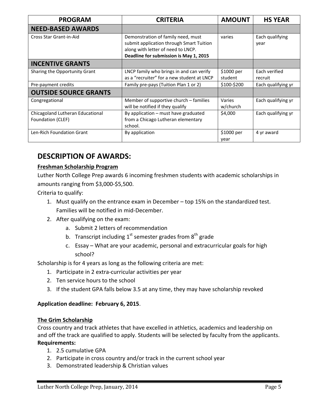| <b>PROGRAM</b>                                        | <b>CRITERIA</b>                                                                                                                                                | <b>AMOUNT</b>         | <b>HS YEAR</b>           |
|-------------------------------------------------------|----------------------------------------------------------------------------------------------------------------------------------------------------------------|-----------------------|--------------------------|
| <b>NEED-BASED AWARDS</b>                              |                                                                                                                                                                |                       |                          |
| Cross Star Grant-in-Aid                               | Demonstration of family need, must<br>submit application through Smart Tuition<br>along with letter of need to LNCP.<br>Deadline for submission is May 1, 2015 | varies                | Each qualifying<br>year  |
| <b>INCENTIVE GRANTS</b>                               |                                                                                                                                                                |                       |                          |
| Sharing the Opportunity Grant                         | LNCP family who brings in and can verify<br>as a "recruiter" for a new student at LNCP                                                                         | \$1000 per<br>student | Each verified<br>recruit |
| Pre-payment credits                                   | Family pre-pays (Tuition Plan 1 or 2)                                                                                                                          | \$100-\$200           | Each qualifying yr       |
| <b>OUTSIDE SOURCE GRANTS</b>                          |                                                                                                                                                                |                       |                          |
| Congregational                                        | Member of supportive church - families<br>will be notified if they qualify                                                                                     | Varies<br>w/church    | Each qualifying yr       |
| Chicagoland Lutheran Educational<br>Foundation (CLEF) | By application - must have graduated<br>from a Chicago Lutheran elementary<br>school.                                                                          | \$4,000               | Each qualifying yr       |
| Len-Rich Foundation Grant                             | By application                                                                                                                                                 | \$1000 per<br>year    | 4 yr award               |

# **DESCRIPTION OF AWARDS:**

### **Freshman Scholarship Program**

Luther North College Prep awards 6 incoming freshmen students with academic scholarships in amounts ranging from \$3,000-\$5,500.

Criteria to qualify:

- 1. Must qualify on the entrance exam in December top 15% on the standardized test. Families will be notified in mid-December.
- 2. After qualifying on the exam:
	- a. Submit 2 letters of recommendation
	- b. Transcript including  $1^{st}$  semester grades from  $8^{th}$  grade
	- c. Essay What are your academic, personal and extracurricular goals for high school?

Scholarship is for 4 years as long as the following criteria are met:

- 1. Participate in 2 extra-curricular activities per year
- 2. Ten service hours to the school
- 3. If the student GPA falls below 3.5 at any time, they may have scholarship revoked

#### **Application deadline: February 6, 2015**.

#### **The Grim Scholarship**

Cross country and track athletes that have excelled in athletics, academics and leadership on and off the track are qualified to apply. Students will be selected by faculty from the applicants. **Requirements:**

- 1. 2.5 cumulative GPA
- 2. Participate in cross country and/or track in the current school year
- 3. Demonstrated leadership & Christian values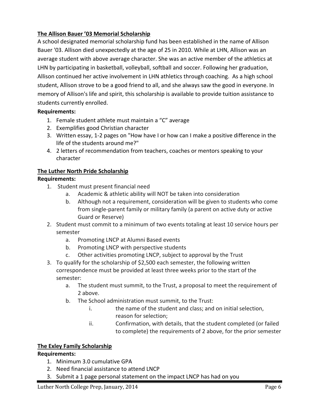#### **The Allison Bauer '03 Memorial Scholarship**

A school designated memorial scholarship fund has been established in the name of Allison Bauer '03. Allison died unexpectedly at the age of 25 in 2010. While at LHN, Allison was an average student with above average character. She was an active member of the athletics at LHN by participating in basketball, volleyball, softball and soccer. Following her graduation, Allison continued her active involvement in LHN athletics through coaching. As a high school student, Allison strove to be a good friend to all, and she always saw the good in everyone. In memory of Allison's life and spirit, this scholarship is available to provide tuition assistance to students currently enrolled.

#### **Requirements:**

- 1. Female student athlete must maintain a "C" average
- 2. Exemplifies good Christian character
- 3. Written essay, 1-2 pages on "How have I or how can I make a positive difference in the life of the students around me?"
- 4. 2 letters of recommendation from teachers, coaches or mentors speaking to your character

#### **The Luther North Pride Scholarship**

#### **Requirements:**

- 1. Student must present financial need
	- a. Academic & athletic ability will NOT be taken into consideration
	- b. Although not a requirement, consideration will be given to students who come from single-parent family or military family (a parent on active duty or active Guard or Reserve)
- 2. Student must commit to a minimum of two events totaling at least 10 service hours per semester
	- a. Promoting LNCP at Alumni Based events
	- b. Promoting LNCP with perspective students
	- c. Other activities promoting LNCP, subject to approval by the Trust
- 3. To qualify for the scholarship of \$2,500 each semester, the following written correspondence must be provided at least three weeks prior to the start of the semester:
	- a. The student must summit, to the Trust, a proposal to meet the requirement of 2 above.
	- b. The School administration must summit, to the Trust:
		- i. the name of the student and class; and on initial selection, reason for selection;
		- ii. Confirmation, with details, that the student completed (or failed to complete) the requirements of 2 above, for the prior semester

#### **The Exley Family Scholarship**

#### **Requirements:**

- 1. Minimum 3.0 cumulative GPA
- 2. Need financial assistance to attend LNCP
- 3. Submit a 1 page personal statement on the impact LNCP has had on you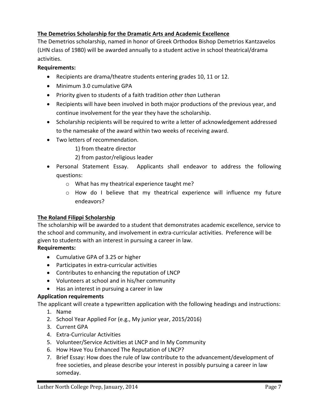### **The Demetrios Scholarship for the Dramatic Arts and Academic Excellence**

The Demetrios scholarship, named in honor of Greek Orthodox Bishop Demetrios Kantzavelos (LHN class of 1980) will be awarded annually to a student active in school theatrical/drama activities.

#### **Requirements:**

- Recipients are drama/theatre students entering grades 10, 11 or 12.
- Minimum 3.0 cumulative GPA
- Priority given to students of a faith tradition *other than* Lutheran
- Recipients will have been involved in both major productions of the previous year, and continue involvement for the year they have the scholarship.
- Scholarship recipients will be required to write a letter of acknowledgement addressed to the namesake of the award within two weeks of receiving award.
- Two letters of recommendation.
	- 1) from theatre director
	- 2) from pastor/religious leader
- Personal Statement Essay. Applicants shall endeavor to address the following questions:
	- o What has my theatrical experience taught me?
	- o How do I believe that my theatrical experience will influence my future endeavors?

#### **The Roland Filippi Scholarship**

The scholarship will be awarded to a student that demonstrates academic excellence, service to the school and community, and involvement in extra-curricular activities. Preference will be given to students with an interest in pursuing a career in law.

#### **Requirements:**

- Cumulative GPA of 3.25 or higher
- Participates in extra-curricular activities
- Contributes to enhancing the reputation of LNCP
- Volunteers at school and in his/her community
- Has an interest in pursuing a career in law

#### **Application requirements**

The applicant will create a typewritten application with the following headings and instructions:

- 1. Name
- 2. School Year Applied For (e.g., My junior year, 2015/2016)
- 3. Current GPA
- 4. Extra-Curricular Activities
- 5. Volunteer/Service Activities at LNCP and In My Community
- 6. How Have You Enhanced The Reputation of LNCP?
- 7. Brief Essay: How does the rule of law contribute to the advancement/development of free societies, and please describe your interest in possibly pursuing a career in law someday.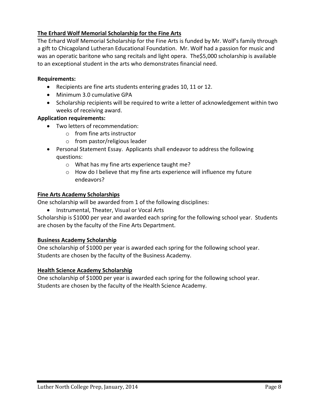### **The Erhard Wolf Memorial Scholarship for the Fine Arts**

The Erhard Wolf Memorial Scholarship for the Fine Arts is funded by Mr. Wolf's family through a gift to Chicagoland Lutheran Educational Foundation. Mr. Wolf had a passion for music and was an operatic baritone who sang recitals and light opera. The\$5,000 scholarship is available to an exceptional student in the arts who demonstrates financial need.

#### **Requirements:**

- Recipients are fine arts students entering grades 10, 11 or 12.
- Minimum 3.0 cumulative GPA
- Scholarship recipients will be required to write a letter of acknowledgement within two weeks of receiving award.

#### **Application requirements:**

- Two letters of recommendation:
	- o from fine arts instructor
	- o from pastor/religious leader
- Personal Statement Essay. Applicants shall endeavor to address the following questions:
	- o What has my fine arts experience taught me?
	- o How do I believe that my fine arts experience will influence my future endeavors?

#### **Fine Arts Academy Scholarships**

One scholarship will be awarded from 1 of the following disciplines:

• Instrumental, Theater, Visual or Vocal Arts

Scholarship is \$1000 per year and awarded each spring for the following school year. Students are chosen by the faculty of the Fine Arts Department.

#### **Business Academy Scholarship**

One scholarship of \$1000 per year is awarded each spring for the following school year. Students are chosen by the faculty of the Business Academy.

#### **Health Science Academy Scholarship**

One scholarship of \$1000 per year is awarded each spring for the following school year. Students are chosen by the faculty of the Health Science Academy.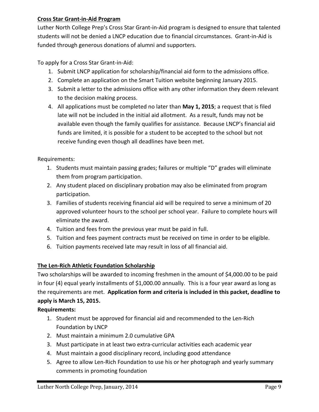#### **Cross Star Grant-in-Aid Program**

Luther North College Prep's Cross Star Grant-in-Aid program is designed to ensure that talented students will not be denied a LNCP education due to financial circumstances. Grant-in-Aid is funded through generous donations of alumni and supporters.

To apply for a Cross Star Grant-in-Aid:

- 1. Submit LNCP application for scholarship/financial aid form to the admissions office.
- 2. Complete an application on the Smart Tuition website beginning January 2015.
- 3. Submit a letter to the admissions office with any other information they deem relevant to the decision making process.
- 4. All applications must be completed no later than **May 1, 2015**; a request that is filed late will not be included in the initial aid allotment. As a result, funds may not be available even though the family qualifies for assistance. Because LNCP's financial aid funds are limited, it is possible for a student to be accepted to the school but not receive funding even though all deadlines have been met.

Requirements:

- 1. Students must maintain passing grades; failures or multiple "D" grades will eliminate them from program participation.
- 2. Any student placed on disciplinary probation may also be eliminated from program participation.
- 3. Families of students receiving financial aid will be required to serve a minimum of 20 approved volunteer hours to the school per school year. Failure to complete hours will eliminate the award.
- 4. Tuition and fees from the previous year must be paid in full.
- 5. Tuition and fees payment contracts must be received on time in order to be eligible.
- 6. Tuition payments received late may result in loss of all financial aid.

### **The Len-Rich Athletic Foundation Scholarship**

Two scholarships will be awarded to incoming freshmen in the amount of \$4,000.00 to be paid in four (4) equal yearly installments of \$1,000.00 annually. This is a four year award as long as the requirements are met. **Application form and criteria is included in this packet, deadline to apply is March 15, 2015.** 

### **Requirements:**

- 1. Student must be approved for financial aid and recommended to the Len-Rich Foundation by LNCP
- 2. Must maintain a minimum 2.0 cumulative GPA
- 3. Must participate in at least two extra-curricular activities each academic year
- 4. Must maintain a good disciplinary record, including good attendance
- 5. Agree to allow Len-Rich Foundation to use his or her photograph and yearly summary comments in promoting foundation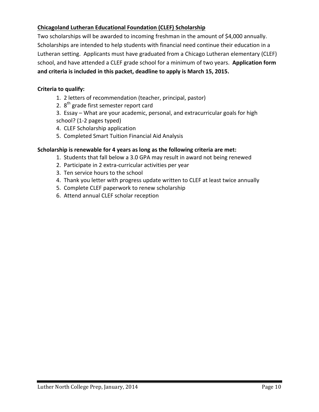### **Chicagoland Lutheran Educational Foundation (CLEF) Scholarship**

Two scholarships will be awarded to incoming freshman in the amount of \$4,000 annually. Scholarships are intended to help students with financial need continue their education in a Lutheran setting. Applicants must have graduated from a Chicago Lutheran elementary (CLEF) school, and have attended a CLEF grade school for a minimum of two years. **Application form and criteria is included in this packet, deadline to apply is March 15, 2015.** 

#### **Criteria to qualify:**

- 1. 2 letters of recommendation (teacher, principal, pastor)
- 2.  $8<sup>th</sup>$  grade first semester report card

3. Essay – What are your academic, personal, and extracurricular goals for high school? (1-2 pages typed)

- 4. CLEF Scholarship application
- 5. Completed Smart Tuition Financial Aid Analysis

#### **Scholarship is renewable for 4 years as long as the following criteria are met:**

- 1. Students that fall below a 3.0 GPA may result in award not being renewed
- 2. Participate in 2 extra-curricular activities per year
- 3. Ten service hours to the school
- 4. Thank you letter with progress update written to CLEF at least twice annually
- 5. Complete CLEF paperwork to renew scholarship
- 6. Attend annual CLEF scholar reception